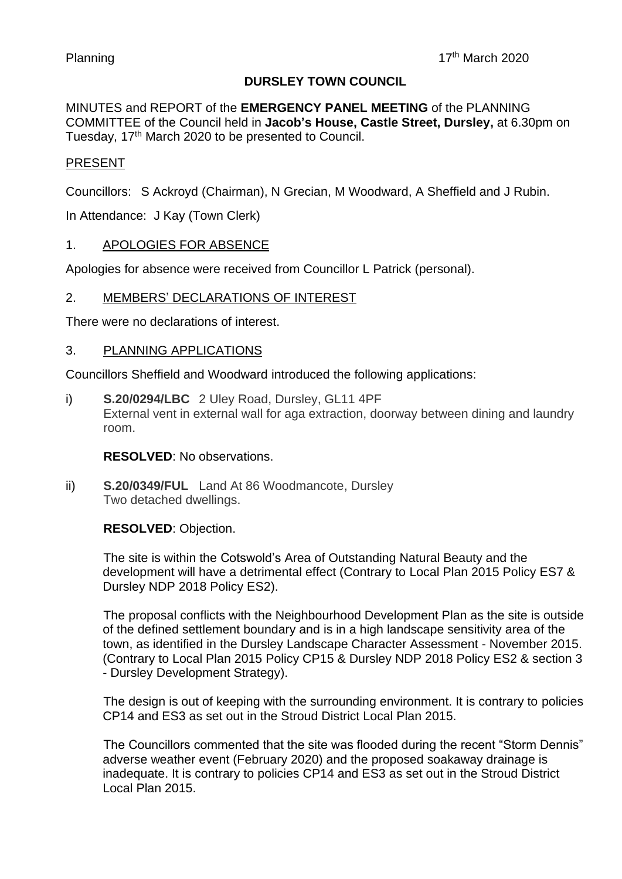# **DURSLEY TOWN COUNCIL**

MINUTES and REPORT of the **EMERGENCY PANEL MEETING** of the PLANNING COMMITTEE of the Council held in **Jacob's House, Castle Street, Dursley,** at 6.30pm on Tuesday, 17<sup>th</sup> March 2020 to be presented to Council.

# PRESENT

Councillors: S Ackroyd (Chairman), N Grecian, M Woodward, A Sheffield and J Rubin.

In Attendance: J Kay (Town Clerk)

## 1. APOLOGIES FOR ABSENCE

Apologies for absence were received from Councillor L Patrick (personal).

## 2. MEMBERS' DECLARATIONS OF INTEREST

There were no declarations of interest.

#### 3. PLANNING APPLICATIONS

Councillors Sheffield and Woodward introduced the following applications:

i) **S.20/0294/LBC** 2 Uley Road, Dursley, GL11 4PF External vent in external wall for aga extraction, doorway between dining and laundry room.

**RESOLVED**: No observations.

ii) **S.20/0349/FUL** Land At 86 Woodmancote, Dursley Two detached dwellings.

#### **RESOLVED**: Objection.

The site is within the Cotswold's Area of Outstanding Natural Beauty and the development will have a detrimental effect (Contrary to Local Plan 2015 Policy ES7 & Dursley NDP 2018 Policy ES2).

The proposal conflicts with the Neighbourhood Development Plan as the site is outside of the defined settlement boundary and is in a high landscape sensitivity area of the town, as identified in the Dursley Landscape Character Assessment - November 2015. (Contrary to Local Plan 2015 Policy CP15 & Dursley NDP 2018 Policy ES2 & section 3 - Dursley Development Strategy).

The design is out of keeping with the surrounding environment. It is contrary to policies CP14 and ES3 as set out in the Stroud District Local Plan 2015.

The Councillors commented that the site was flooded during the recent "Storm Dennis" adverse weather event (February 2020) and the proposed soakaway drainage is inadequate. It is contrary to policies CP14 and ES3 as set out in the Stroud District Local Plan 2015.